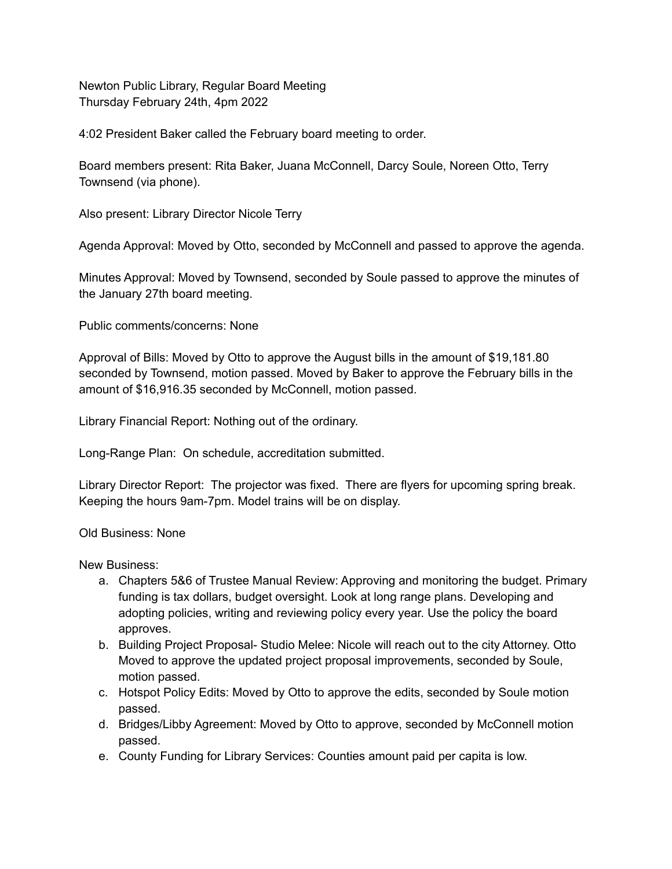Newton Public Library, Regular Board Meeting Thursday February 24th, 4pm 2022

4:02 President Baker called the February board meeting to order.

Board members present: Rita Baker, Juana McConnell, Darcy Soule, Noreen Otto, Terry Townsend (via phone).

Also present: Library Director Nicole Terry

Agenda Approval: Moved by Otto, seconded by McConnell and passed to approve the agenda.

Minutes Approval: Moved by Townsend, seconded by Soule passed to approve the minutes of the January 27th board meeting.

Public comments/concerns: None

Approval of Bills: Moved by Otto to approve the August bills in the amount of \$19,181.80 seconded by Townsend, motion passed. Moved by Baker to approve the February bills in the amount of \$16,916.35 seconded by McConnell, motion passed.

Library Financial Report: Nothing out of the ordinary.

Long-Range Plan: On schedule, accreditation submitted.

Library Director Report: The projector was fixed. There are flyers for upcoming spring break. Keeping the hours 9am-7pm. Model trains will be on display.

Old Business: None

New Business:

- a. Chapters 5&6 of Trustee Manual Review: Approving and monitoring the budget. Primary funding is tax dollars, budget oversight. Look at long range plans. Developing and adopting policies, writing and reviewing policy every year. Use the policy the board approves.
- b. Building Project Proposal- Studio Melee: Nicole will reach out to the city Attorney. Otto Moved to approve the updated project proposal improvements, seconded by Soule, motion passed.
- c. Hotspot Policy Edits: Moved by Otto to approve the edits, seconded by Soule motion passed.
- d. Bridges/Libby Agreement: Moved by Otto to approve, seconded by McConnell motion passed.
- e. County Funding for Library Services: Counties amount paid per capita is low.